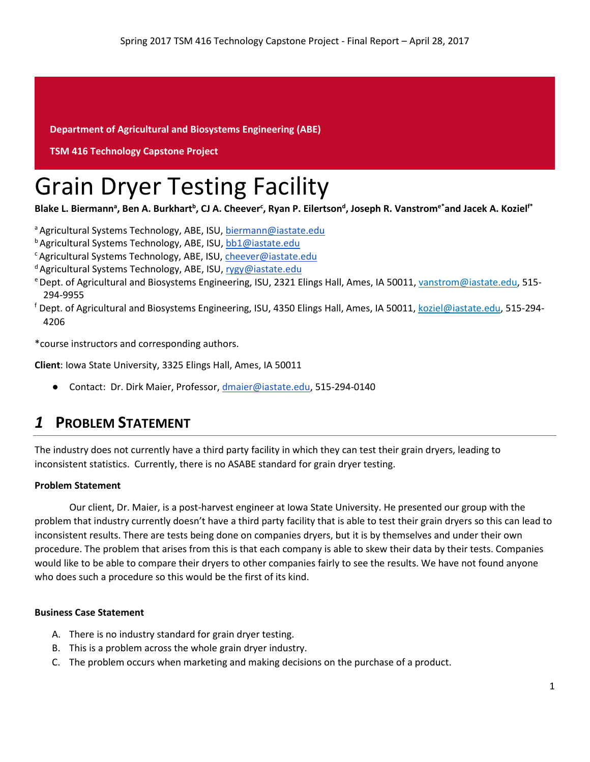**Department of Agricultural and Biosystems Engineering (ABE)**

#### **TSM 416 Technology Capstone Project**

# Grain Dryer Testing Facility

Blake L. Biermann<sup>a</sup>, Ben A. Burkhart<sup>b</sup>, CJ A. Cheever<sup>c</sup>, Ryan P. Eilertson<sup>d</sup>, Joseph R. Vanstrom<sup>e\*</sup>and Jacek A. Koziel<sup>f\*</sup>

a Agricultural Systems Technology, ABE, ISU, [biermann@iastate.edu](mailto:biermann@iastate.edu)

**b** Agricultural Systems Technology, ABE, ISU, [bb1@iastate.edu](mailto:bb1@iastate.edu)

c Agricultural Systems Technology, ABE, ISU[, cheever@iastate.edu](mailto:cheever@iastate.edu)

- <sup>d</sup> Agricultural Systems Technology, ABE, ISU, [rygy@iastate.edu](mailto:rygy@iastate.edu)
- e Dept. of Agricultural and Biosystems Engineering, ISU, 2321 Elings Hall, Ames, IA 50011[, vanstrom@iastate.edu,](mailto:vanstrom@iastate.edu) 515- 294-9955
- <sup>f</sup> Dept. of Agricultural and Biosystems Engineering, ISU, 4350 Elings Hall, Ames, IA 50011, [koziel@iastate.edu,](mailto:koziel@iastate.edu) 515-294- 4206

\*course instructors and corresponding authors.

**Client**: Iowa State University, 3325 Elings Hall, Ames, IA 50011

Contact: Dr. Dirk Maier, Professor[, dmaier@iastate.edu,](mailto:dmaier@iastate.edu) 515-294-0140

# *1* **PROBLEM STATEMENT**

The industry does not currently have a third party facility in which they can test their grain dryers, leading to inconsistent statistics. Currently, there is no ASABE standard for grain dryer testing.

#### **Problem Statement**

Our client, Dr. Maier, is a post-harvest engineer at Iowa State University. He presented our group with the problem that industry currently doesn't have a third party facility that is able to test their grain dryers so this can lead to inconsistent results. There are tests being done on companies dryers, but it is by themselves and under their own procedure. The problem that arises from this is that each company is able to skew their data by their tests. Companies would like to be able to compare their dryers to other companies fairly to see the results. We have not found anyone who does such a procedure so this would be the first of its kind.

#### **Business Case Statement**

- A. There is no industry standard for grain dryer testing.
- B. This is a problem across the whole grain dryer industry.
- C. The problem occurs when marketing and making decisions on the purchase of a product.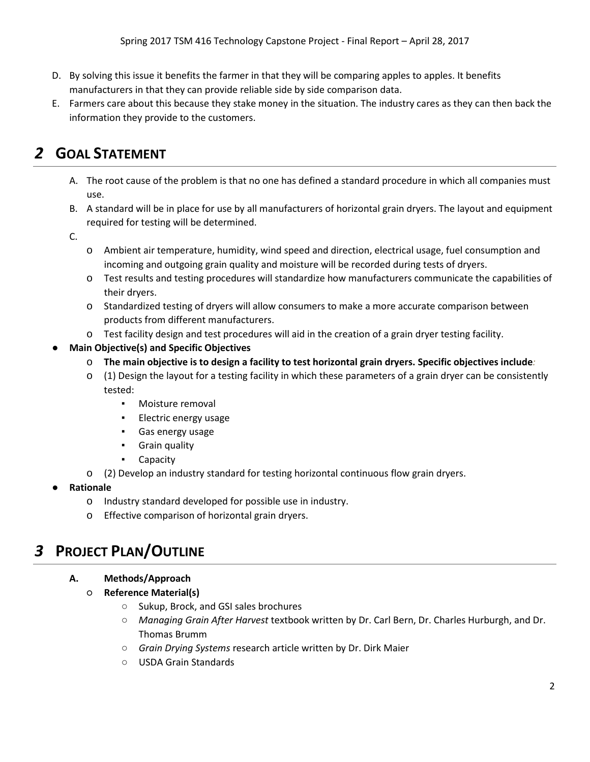- D. By solving this issue it benefits the farmer in that they will be comparing apples to apples. It benefits manufacturers in that they can provide reliable side by side comparison data.
- E. Farmers care about this because they stake money in the situation. The industry cares as they can then back the information they provide to the customers.

# *2* **GOAL STATEMENT**

- A. The root cause of the problem is that no one has defined a standard procedure in which all companies must use.
- B. A standard will be in place for use by all manufacturers of horizontal grain dryers. The layout and equipment required for testing will be determined.
- C.
- o Ambient air temperature, humidity, wind speed and direction, electrical usage, fuel consumption and incoming and outgoing grain quality and moisture will be recorded during tests of dryers.
- o Test results and testing procedures will standardize how manufacturers communicate the capabilities of their dryers.
- o Standardized testing of dryers will allow consumers to make a more accurate comparison between products from different manufacturers.
- o Test facility design and test procedures will aid in the creation of a grain dryer testing facility.
- **Main Objective(s) and Specific Objectives** 
	- o **The main objective is to design a facility to test horizontal grain dryers. Specific objectives include***:*
	- o (1) Design the layout for a testing facility in which these parameters of a grain dryer can be consistently tested:
		- Moisture removal
		- Electric energy usage
		- Gas energy usage
		- Grain quality
		- Capacity
	- o (2) Develop an industry standard for testing horizontal continuous flow grain dryers.
- **Rationale**
	- o Industry standard developed for possible use in industry.
	- o Effective comparison of horizontal grain dryers.

# *3* **PROJECT PLAN/OUTLINE**

#### **A. Methods/Approach**

- **Reference Material(s)**
	- Sukup, Brock, and GSI sales brochures
	- *Managing Grain After Harvest* textbook written by Dr. Carl Bern, Dr. Charles Hurburgh, and Dr. Thomas Brumm
	- *Grain Drying Systems* research article written by Dr. Dirk Maier
	- USDA Grain Standards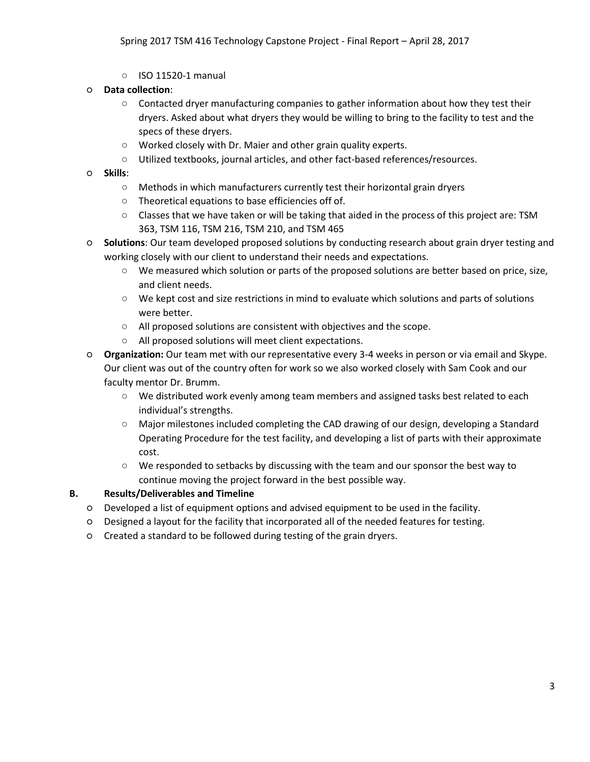○ ISO 11520-1 manual

#### ○ **Data collection**:

- $\circ$  Contacted dryer manufacturing companies to gather information about how they test their dryers. Asked about what dryers they would be willing to bring to the facility to test and the specs of these dryers.
- Worked closely with Dr. Maier and other grain quality experts.
- Utilized textbooks, journal articles, and other fact-based references/resources.
- **Skills**:
	- Methods in which manufacturers currently test their horizontal grain dryers
	- Theoretical equations to base efficiencies off of.
	- Classes that we have taken or will be taking that aided in the process of this project are: TSM 363, TSM 116, TSM 216, TSM 210, and TSM 465
- **Solutions**: Our team developed proposed solutions by conducting research about grain dryer testing and working closely with our client to understand their needs and expectations.
	- We measured which solution or parts of the proposed solutions are better based on price, size, and client needs.
	- We kept cost and size restrictions in mind to evaluate which solutions and parts of solutions were better.
	- All proposed solutions are consistent with objectives and the scope.
	- All proposed solutions will meet client expectations.
- **Organization:** Our team met with our representative every 3-4 weeks in person or via email and Skype. Our client was out of the country often for work so we also worked closely with Sam Cook and our faculty mentor Dr. Brumm.
	- We distributed work evenly among team members and assigned tasks best related to each individual's strengths.
	- Major milestones included completing the CAD drawing of our design, developing a Standard Operating Procedure for the test facility, and developing a list of parts with their approximate cost.
	- We responded to setbacks by discussing with the team and our sponsor the best way to continue moving the project forward in the best possible way.

#### **B. Results/Deliverables and Timeline**

- Developed a list of equipment options and advised equipment to be used in the facility.
- Designed a layout for the facility that incorporated all of the needed features for testing.
- Created a standard to be followed during testing of the grain dryers.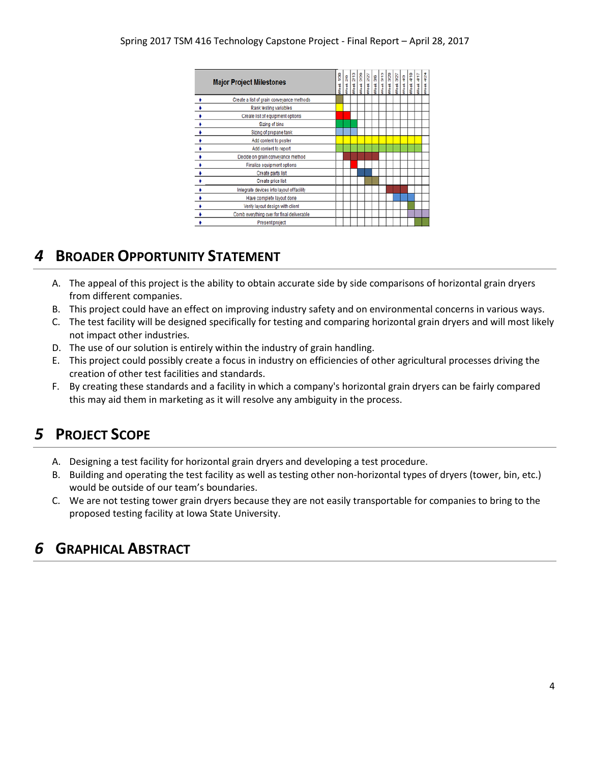|                      | <b>Major Project Milestones</b>            | 921<br>Week | $\frac{8}{3}$<br><b>Neek</b> | 2/13<br>Week: | Week 2/20<br>Week 2/27 | $\vert \mathbf{g} \vert$<br>Week: | 3/13<br>Week: | Week 3/20 | Week 3/27<br>Week 4/3 | $\frac{1}{4}$<br>Week. | Neek 4/17 | 4/24<br>Week |
|----------------------|--------------------------------------------|-------------|------------------------------|---------------|------------------------|-----------------------------------|---------------|-----------|-----------------------|------------------------|-----------|--------------|
|                      | Create a list of grain conveyance methods  |             |                              |               |                        |                                   |               |           |                       |                        |           |              |
|                      | Rank testing variables                     |             |                              |               |                        |                                   |               |           |                       |                        |           |              |
|                      | Create list of equipment options           |             |                              |               |                        |                                   |               |           |                       |                        |           |              |
| $\ddot{\bullet}$     | Sizing of bins                             |             |                              |               |                        |                                   |               |           |                       |                        |           |              |
| $\ddot{\phantom{1}}$ | Sizing of propane tank                     |             |                              |               |                        |                                   |               |           |                       |                        |           |              |
| $\bullet$            | Add content to poster                      |             |                              |               |                        |                                   |               |           |                       |                        |           |              |
|                      | Add content to report                      |             |                              |               |                        |                                   |               |           |                       |                        |           |              |
| $\frac{1}{\bullet}$  | Decide on grain conveyance method          |             |                              |               |                        |                                   |               |           |                       |                        |           |              |
| $\rightarrow$        | Finalize equipment options                 |             |                              |               |                        |                                   |               |           |                       |                        |           |              |
| $\rightarrow$        | Create parts list                          |             |                              |               |                        |                                   |               |           |                       |                        |           |              |
| $\rightarrow$        | Create price list                          |             |                              |               |                        |                                   |               |           |                       |                        |           |              |
| $\ddot{\phantom{1}}$ | Integrate devices into layout of facility  |             |                              |               |                        |                                   |               |           |                       |                        |           |              |
|                      | Have complete layout done                  |             |                              |               |                        |                                   |               |           |                       |                        |           |              |
| $\bullet$            | Verify layout design with client           |             |                              |               |                        |                                   |               |           |                       |                        |           |              |
|                      | Comb everything over for final deliverable |             |                              |               |                        |                                   |               |           |                       |                        |           |              |
|                      | Present project                            |             |                              |               |                        |                                   |               |           |                       |                        |           |              |

# *4* **BROADER OPPORTUNITY STATEMENT**

- A. The appeal of this project is the ability to obtain accurate side by side comparisons of horizontal grain dryers from different companies.
- B. This project could have an effect on improving industry safety and on environmental concerns in various ways.
- C. The test facility will be designed specifically for testing and comparing horizontal grain dryers and will most likely not impact other industries.
- D. The use of our solution is entirely within the industry of grain handling.
- E. This project could possibly create a focus in industry on efficiencies of other agricultural processes driving the creation of other test facilities and standards.
- F. By creating these standards and a facility in which a company's horizontal grain dryers can be fairly compared this may aid them in marketing as it will resolve any ambiguity in the process.

# *5* **PROJECT SCOPE**

- A. Designing a test facility for horizontal grain dryers and developing a test procedure.
- B. Building and operating the test facility as well as testing other non-horizontal types of dryers (tower, bin, etc.) would be outside of our team's boundaries.
- C. We are not testing tower grain dryers because they are not easily transportable for companies to bring to the proposed testing facility at Iowa State University.

# *6* **GRAPHICAL ABSTRACT**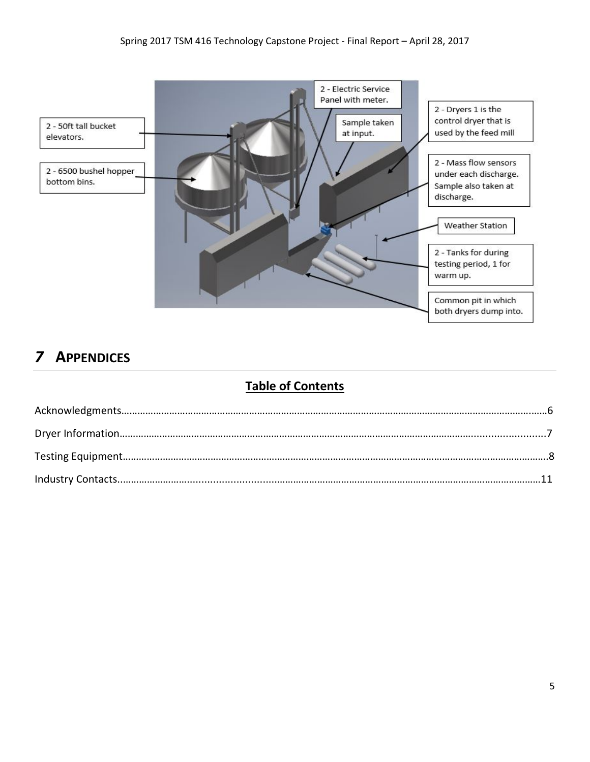

# *7* **APPENDICES**

### **Table of Contents**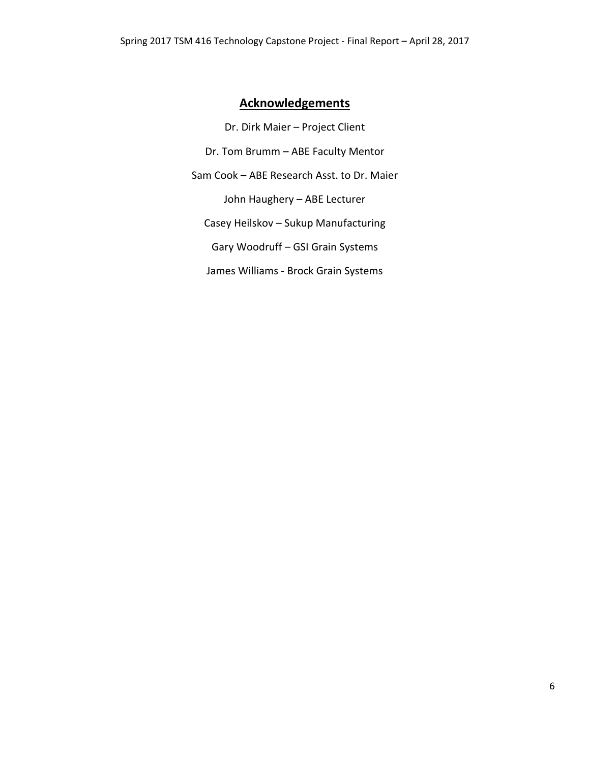### **Acknowledgements**

Dr. Dirk Maier – Project Client Dr. Tom Brumm – ABE Faculty Mentor Sam Cook – ABE Research Asst. to Dr. Maier John Haughery – ABE Lecturer Casey Heilskov – Sukup Manufacturing Gary Woodruff – GSI Grain Systems James Williams - Brock Grain Systems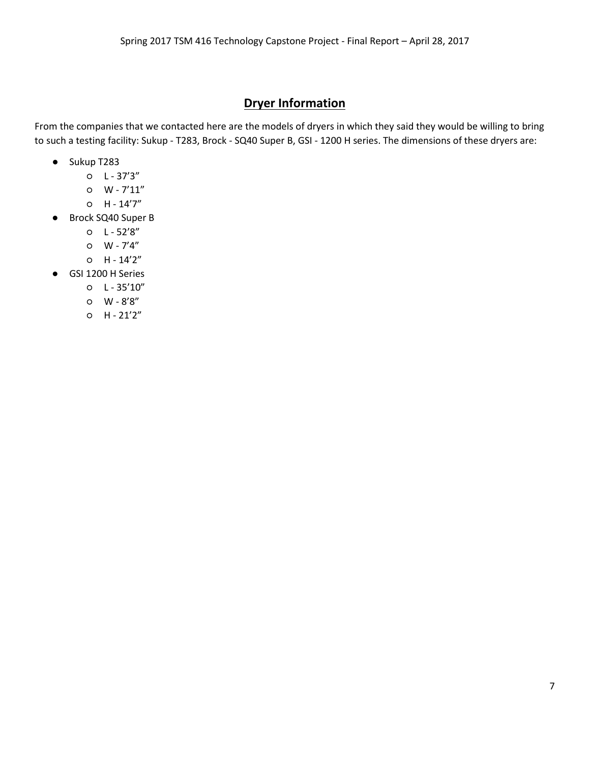### **Dryer Information**

From the companies that we contacted here are the models of dryers in which they said they would be willing to bring to such a testing facility: Sukup - T283, Brock - SQ40 Super B, GSI - 1200 H series. The dimensions of these dryers are:

- Sukup T283
	- $O L 37'3''$
	- W 7'11"
	- $O$  H  $14'7''$
- Brock SQ40 Super B
	- L 52'8"
	- $O$   $W 7'4''$
	- $O$  H  $14'2''$
- GSI 1200 H Series
	- $O L 35'10''$
	- W 8'8"
	- $O$  H  $21'2''$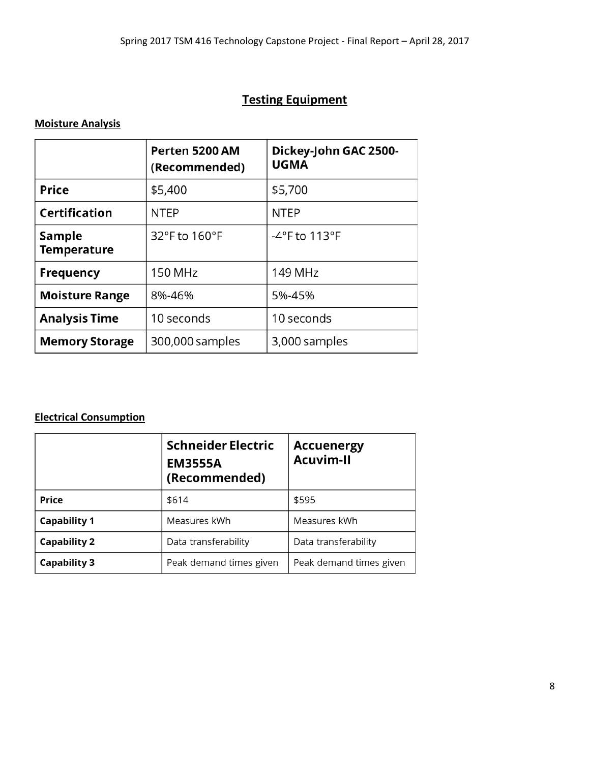### **Testing Equipment**

### **Moisture Analysis**

|                              | Perten 5200 AM<br>(Recommended) | Dickey-John GAC 2500-<br><b>UGMA</b> |
|------------------------------|---------------------------------|--------------------------------------|
| <b>Price</b>                 | \$5,400                         | \$5,700                              |
| <b>Certification</b>         | <b>NTEP</b>                     | <b>NTEP</b>                          |
| Sample<br><b>Temperature</b> | 32°F to 160°F                   | -4°F to 113°F                        |
| <b>Frequency</b>             | <b>150 MHz</b>                  | 149 MHz                              |
| <b>Moisture Range</b>        | 8%-46%                          | 5%-45%                               |
| <b>Analysis Time</b>         | 10 seconds                      | 10 seconds                           |
| <b>Memory Storage</b>        | 300,000 samples                 | 3,000 samples                        |

### **Electrical Consumption**

|                     | <b>Schneider Electric</b><br><b>Accuenergy</b><br><b>Acuvim-II</b><br><b>EM3555A</b><br>(Recommended) |                         |
|---------------------|-------------------------------------------------------------------------------------------------------|-------------------------|
| <b>Price</b>        | \$614                                                                                                 | \$595                   |
| <b>Capability 1</b> | Measures kWh                                                                                          | Measures kWh            |
| <b>Capability 2</b> | Data transferability                                                                                  | Data transferability    |
| <b>Capability 3</b> | Peak demand times given                                                                               | Peak demand times given |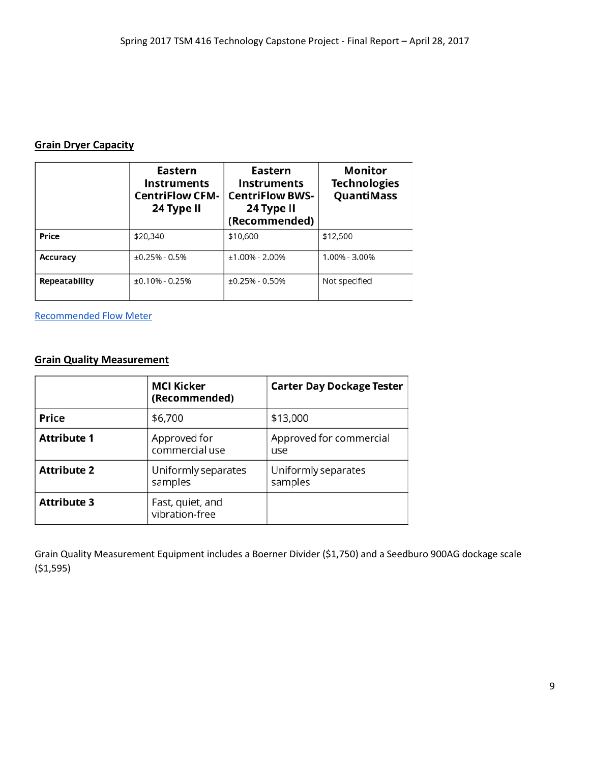#### **Grain Dryer Capacity**

|               | Eastern<br><b>Instruments</b><br><b>CentriFlow CFM-</b><br>24 Type II | Eastern<br><b>Instruments</b><br><b>CentriFlow BWS-</b><br>24 Type II<br>(Recommended) | Monitor<br><b>Technologies</b><br>QuantiMass |
|---------------|-----------------------------------------------------------------------|----------------------------------------------------------------------------------------|----------------------------------------------|
| Price         | \$20,340                                                              | \$10,600                                                                               | \$12,500                                     |
| Accuracy      | $+0.25\% - 0.5\%$                                                     | $±1.00\% - 2.00\%$                                                                     | 1.00% - 3.00%                                |
| Repeatability | $\pm 0.10\%$ - 0.25%                                                  | $±0.25% - 0.50%$                                                                       | Not specified                                |

[Recommended Flow Meter](http://easterninstruments.com/products/centriflow/CentriFlow%20BWS%20Meter.html)

### **Grain Quality Measurement**

|                    | <b>MCI Kicker</b><br>(Recommended) | <b>Carter Day Dockage Tester</b> |
|--------------------|------------------------------------|----------------------------------|
| <b>Price</b>       | \$6,700                            | \$13,000                         |
| <b>Attribute 1</b> | Approved for<br>commercial use     | Approved for commercial<br>use   |
| <b>Attribute 2</b> | Uniformly separates<br>samples     | Uniformly separates<br>samples   |
| <b>Attribute 3</b> | Fast, quiet, and<br>vibration-free |                                  |

Grain Quality Measurement Equipment includes a Boerner Divider (\$1,750) and a Seedburo 900AG dockage scale (\$1,595)